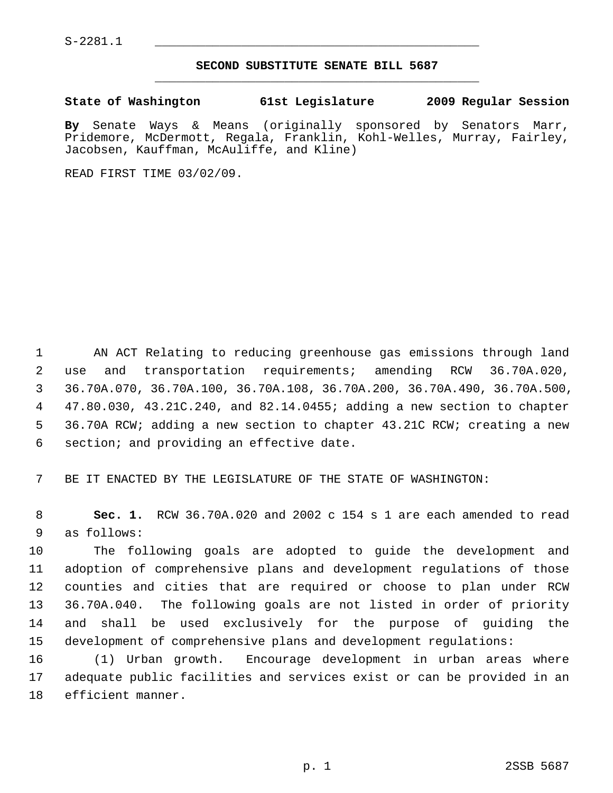$S-2281.1$ 

## **SECOND SUBSTITUTE SENATE BILL 5687** \_\_\_\_\_\_\_\_\_\_\_\_\_\_\_\_\_\_\_\_\_\_\_\_\_\_\_\_\_\_\_\_\_\_\_\_\_\_\_\_\_\_\_\_\_

**State of Washington 61st Legislature 2009 Regular Session**

**By** Senate Ways & Means (originally sponsored by Senators Marr, Pridemore, McDermott, Regala, Franklin, Kohl-Welles, Murray, Fairley, Jacobsen, Kauffman, McAuliffe, and Kline)

READ FIRST TIME 03/02/09.

 1 AN ACT Relating to reducing greenhouse gas emissions through land 2 use and transportation requirements; amending RCW 36.70A.020, 3 36.70A.070, 36.70A.100, 36.70A.108, 36.70A.200, 36.70A.490, 36.70A.500, 4 47.80.030, 43.21C.240, and 82.14.0455; adding a new section to chapter 5 36.70A RCW; adding a new section to chapter 43.21C RCW; creating a new 6 section; and providing an effective date.

7 BE IT ENACTED BY THE LEGISLATURE OF THE STATE OF WASHINGTON:

 8 **Sec. 1.** RCW 36.70A.020 and 2002 c 154 s 1 are each amended to read 9 as follows:

10 The following goals are adopted to guide the development and 11 adoption of comprehensive plans and development regulations of those 12 counties and cities that are required or choose to plan under RCW 13 36.70A.040. The following goals are not listed in order of priority 14 and shall be used exclusively for the purpose of guiding the 15 development of comprehensive plans and development regulations:

16 (1) Urban growth. Encourage development in urban areas where 17 adequate public facilities and services exist or can be provided in an 18 efficient manner.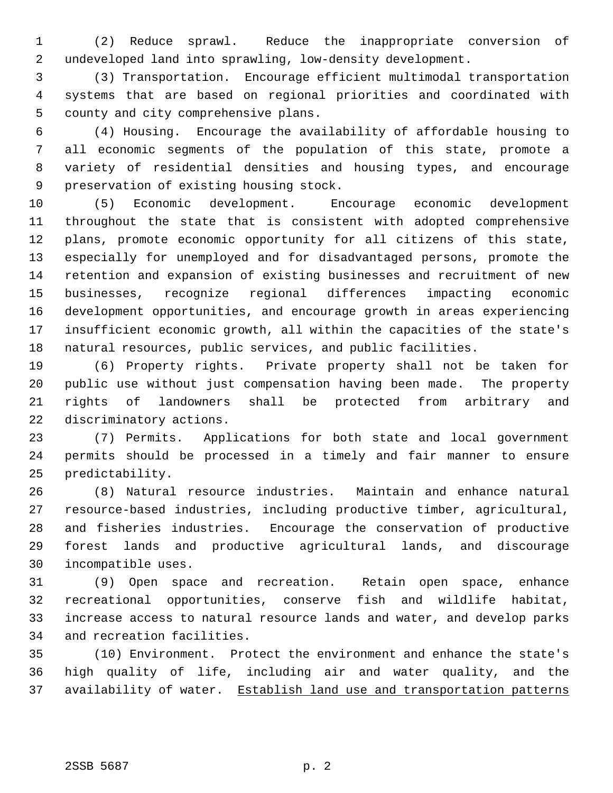1 (2) Reduce sprawl. Reduce the inappropriate conversion of 2 undeveloped land into sprawling, low-density development.

 3 (3) Transportation. Encourage efficient multimodal transportation 4 systems that are based on regional priorities and coordinated with 5 county and city comprehensive plans.

 6 (4) Housing. Encourage the availability of affordable housing to 7 all economic segments of the population of this state, promote a 8 variety of residential densities and housing types, and encourage 9 preservation of existing housing stock.

10 (5) Economic development. Encourage economic development 11 throughout the state that is consistent with adopted comprehensive 12 plans, promote economic opportunity for all citizens of this state, 13 especially for unemployed and for disadvantaged persons, promote the 14 retention and expansion of existing businesses and recruitment of new 15 businesses, recognize regional differences impacting economic 16 development opportunities, and encourage growth in areas experiencing 17 insufficient economic growth, all within the capacities of the state's 18 natural resources, public services, and public facilities.

19 (6) Property rights. Private property shall not be taken for 20 public use without just compensation having been made. The property 21 rights of landowners shall be protected from arbitrary and 22 discriminatory actions.

23 (7) Permits. Applications for both state and local government 24 permits should be processed in a timely and fair manner to ensure 25 predictability.

26 (8) Natural resource industries. Maintain and enhance natural 27 resource-based industries, including productive timber, agricultural, 28 and fisheries industries. Encourage the conservation of productive 29 forest lands and productive agricultural lands, and discourage 30 incompatible uses.

31 (9) Open space and recreation. Retain open space, enhance 32 recreational opportunities, conserve fish and wildlife habitat, 33 increase access to natural resource lands and water, and develop parks 34 and recreation facilities.

35 (10) Environment. Protect the environment and enhance the state's 36 high quality of life, including air and water quality, and the 37 availability of water. Establish land use and transportation patterns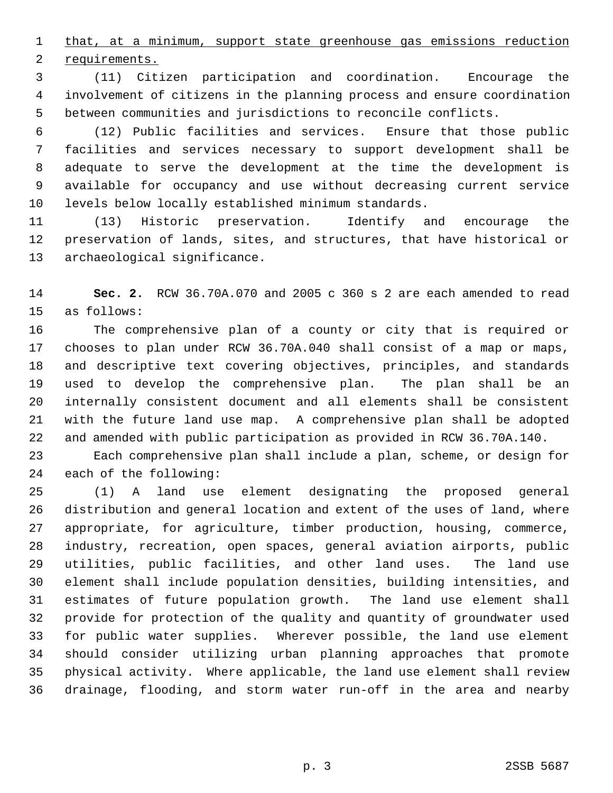1 that, at a minimum, support state greenhouse gas emissions reduction 2 requirements.

 3 (11) Citizen participation and coordination. Encourage the 4 involvement of citizens in the planning process and ensure coordination 5 between communities and jurisdictions to reconcile conflicts.

 6 (12) Public facilities and services. Ensure that those public 7 facilities and services necessary to support development shall be 8 adequate to serve the development at the time the development is 9 available for occupancy and use without decreasing current service 10 levels below locally established minimum standards.

11 (13) Historic preservation. Identify and encourage the 12 preservation of lands, sites, and structures, that have historical or 13 archaeological significance.

14 **Sec. 2.** RCW 36.70A.070 and 2005 c 360 s 2 are each amended to read 15 as follows:

16 The comprehensive plan of a county or city that is required or 17 chooses to plan under RCW 36.70A.040 shall consist of a map or maps, 18 and descriptive text covering objectives, principles, and standards 19 used to develop the comprehensive plan. The plan shall be an 20 internally consistent document and all elements shall be consistent 21 with the future land use map. A comprehensive plan shall be adopted 22 and amended with public participation as provided in RCW 36.70A.140.

23 Each comprehensive plan shall include a plan, scheme, or design for 24 each of the following:

25 (1) A land use element designating the proposed general 26 distribution and general location and extent of the uses of land, where 27 appropriate, for agriculture, timber production, housing, commerce, 28 industry, recreation, open spaces, general aviation airports, public 29 utilities, public facilities, and other land uses. The land use 30 element shall include population densities, building intensities, and 31 estimates of future population growth. The land use element shall 32 provide for protection of the quality and quantity of groundwater used 33 for public water supplies. Wherever possible, the land use element 34 should consider utilizing urban planning approaches that promote 35 physical activity. Where applicable, the land use element shall review 36 drainage, flooding, and storm water run-off in the area and nearby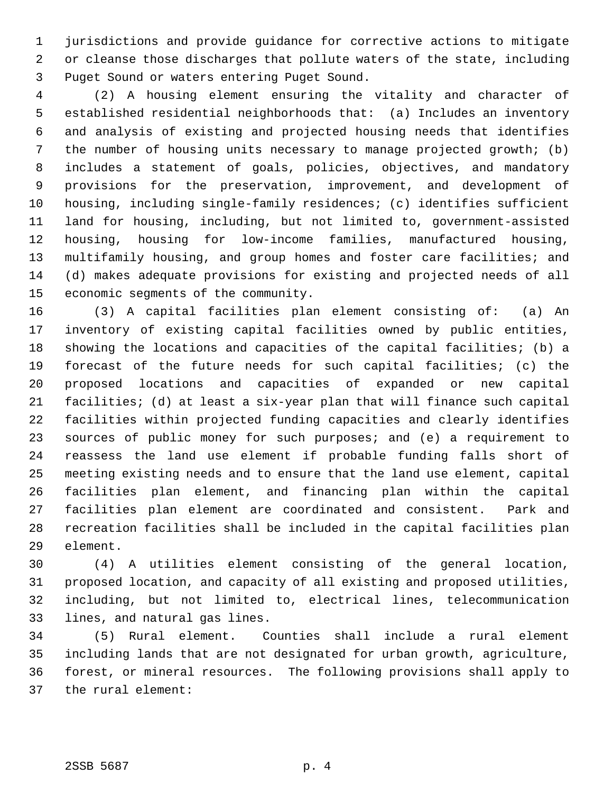1 jurisdictions and provide guidance for corrective actions to mitigate 2 or cleanse those discharges that pollute waters of the state, including 3 Puget Sound or waters entering Puget Sound.

 4 (2) A housing element ensuring the vitality and character of 5 established residential neighborhoods that: (a) Includes an inventory 6 and analysis of existing and projected housing needs that identifies 7 the number of housing units necessary to manage projected growth; (b) 8 includes a statement of goals, policies, objectives, and mandatory 9 provisions for the preservation, improvement, and development of 10 housing, including single-family residences; (c) identifies sufficient 11 land for housing, including, but not limited to, government-assisted 12 housing, housing for low-income families, manufactured housing, 13 multifamily housing, and group homes and foster care facilities; and 14 (d) makes adequate provisions for existing and projected needs of all 15 economic segments of the community.

16 (3) A capital facilities plan element consisting of: (a) An 17 inventory of existing capital facilities owned by public entities, 18 showing the locations and capacities of the capital facilities; (b) a 19 forecast of the future needs for such capital facilities; (c) the 20 proposed locations and capacities of expanded or new capital 21 facilities; (d) at least a six-year plan that will finance such capital 22 facilities within projected funding capacities and clearly identifies 23 sources of public money for such purposes; and (e) a requirement to 24 reassess the land use element if probable funding falls short of 25 meeting existing needs and to ensure that the land use element, capital 26 facilities plan element, and financing plan within the capital 27 facilities plan element are coordinated and consistent. Park and 28 recreation facilities shall be included in the capital facilities plan 29 element.

30 (4) A utilities element consisting of the general location, 31 proposed location, and capacity of all existing and proposed utilities, 32 including, but not limited to, electrical lines, telecommunication 33 lines, and natural gas lines.

34 (5) Rural element. Counties shall include a rural element 35 including lands that are not designated for urban growth, agriculture, 36 forest, or mineral resources. The following provisions shall apply to 37 the rural element: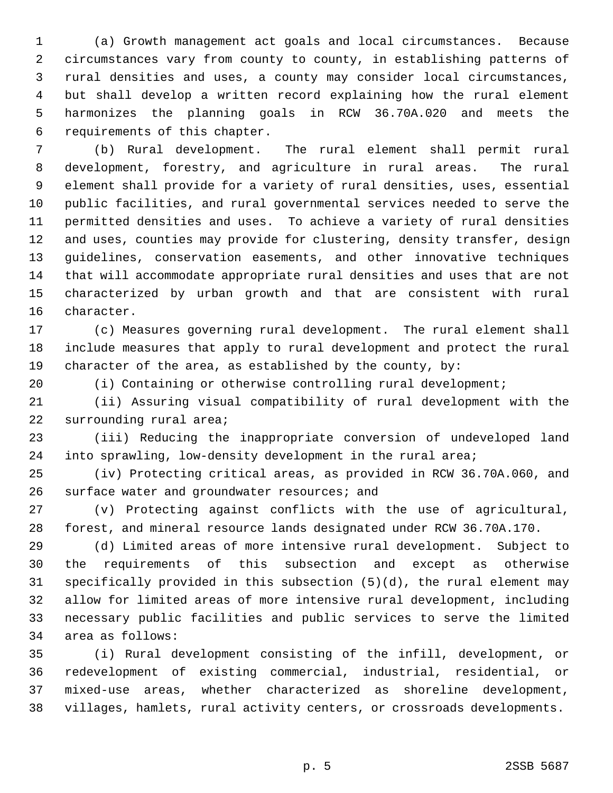1 (a) Growth management act goals and local circumstances. Because 2 circumstances vary from county to county, in establishing patterns of 3 rural densities and uses, a county may consider local circumstances, 4 but shall develop a written record explaining how the rural element 5 harmonizes the planning goals in RCW 36.70A.020 and meets the 6 requirements of this chapter.

 7 (b) Rural development. The rural element shall permit rural 8 development, forestry, and agriculture in rural areas. The rural 9 element shall provide for a variety of rural densities, uses, essential 10 public facilities, and rural governmental services needed to serve the 11 permitted densities and uses. To achieve a variety of rural densities 12 and uses, counties may provide for clustering, density transfer, design 13 guidelines, conservation easements, and other innovative techniques 14 that will accommodate appropriate rural densities and uses that are not 15 characterized by urban growth and that are consistent with rural 16 character.

17 (c) Measures governing rural development. The rural element shall 18 include measures that apply to rural development and protect the rural 19 character of the area, as established by the county, by:

20 (i) Containing or otherwise controlling rural development;

21 (ii) Assuring visual compatibility of rural development with the 22 surrounding rural area;

23 (iii) Reducing the inappropriate conversion of undeveloped land 24 into sprawling, low-density development in the rural area;

25 (iv) Protecting critical areas, as provided in RCW 36.70A.060, and 26 surface water and groundwater resources; and

27 (v) Protecting against conflicts with the use of agricultural, 28 forest, and mineral resource lands designated under RCW 36.70A.170.

29 (d) Limited areas of more intensive rural development. Subject to 30 the requirements of this subsection and except as otherwise 31 specifically provided in this subsection (5)(d), the rural element may 32 allow for limited areas of more intensive rural development, including 33 necessary public facilities and public services to serve the limited 34 area as follows:

35 (i) Rural development consisting of the infill, development, or 36 redevelopment of existing commercial, industrial, residential, or 37 mixed-use areas, whether characterized as shoreline development, 38 villages, hamlets, rural activity centers, or crossroads developments.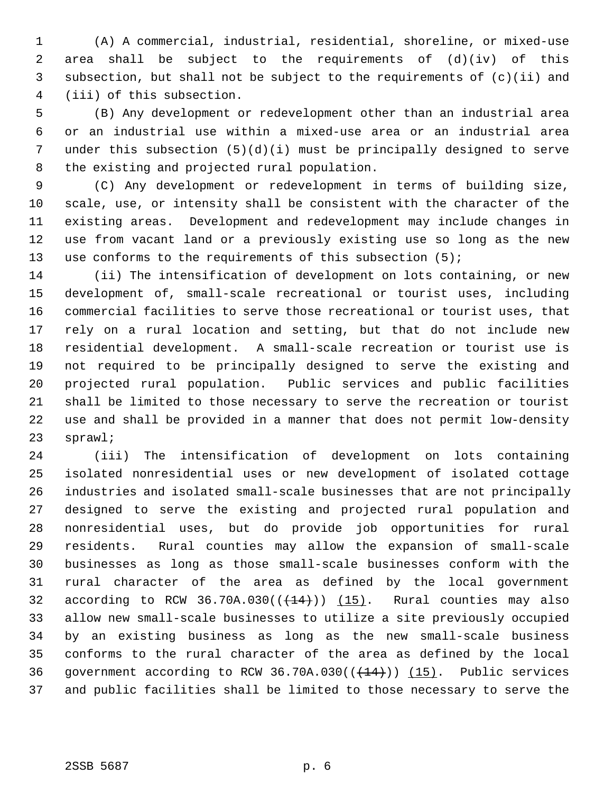1 (A) A commercial, industrial, residential, shoreline, or mixed-use 2 area shall be subject to the requirements of (d)(iv) of this 3 subsection, but shall not be subject to the requirements of (c)(ii) and 4 (iii) of this subsection.

 5 (B) Any development or redevelopment other than an industrial area 6 or an industrial use within a mixed-use area or an industrial area 7 under this subsection (5)(d)(i) must be principally designed to serve 8 the existing and projected rural population.

 9 (C) Any development or redevelopment in terms of building size, 10 scale, use, or intensity shall be consistent with the character of the 11 existing areas. Development and redevelopment may include changes in 12 use from vacant land or a previously existing use so long as the new 13 use conforms to the requirements of this subsection (5);

14 (ii) The intensification of development on lots containing, or new 15 development of, small-scale recreational or tourist uses, including 16 commercial facilities to serve those recreational or tourist uses, that 17 rely on a rural location and setting, but that do not include new 18 residential development. A small-scale recreation or tourist use is 19 not required to be principally designed to serve the existing and 20 projected rural population. Public services and public facilities 21 shall be limited to those necessary to serve the recreation or tourist 22 use and shall be provided in a manner that does not permit low-density 23 sprawl;

24 (iii) The intensification of development on lots containing 25 isolated nonresidential uses or new development of isolated cottage 26 industries and isolated small-scale businesses that are not principally 27 designed to serve the existing and projected rural population and 28 nonresidential uses, but do provide job opportunities for rural 29 residents. Rural counties may allow the expansion of small-scale 30 businesses as long as those small-scale businesses conform with the 31 rural character of the area as defined by the local government 32 according to RCW 36.70A.030( $(\frac{14}{1})$ ) (15). Rural counties may also 33 allow new small-scale businesses to utilize a site previously occupied 34 by an existing business as long as the new small-scale business 35 conforms to the rural character of the area as defined by the local 36 government according to RCW 36.70A.030( $(\frac{14}{1})$ ) (15). Public services 37 and public facilities shall be limited to those necessary to serve the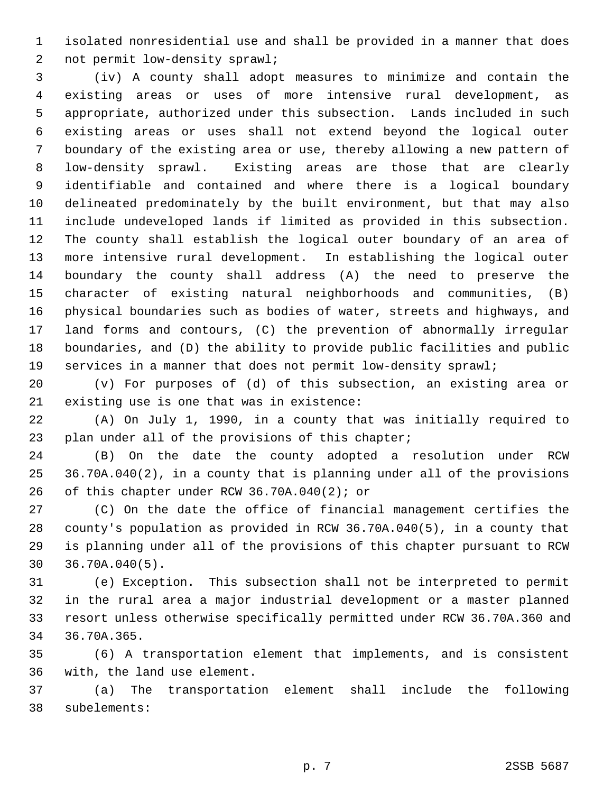1 isolated nonresidential use and shall be provided in a manner that does 2 not permit low-density sprawl;

 3 (iv) A county shall adopt measures to minimize and contain the 4 existing areas or uses of more intensive rural development, as 5 appropriate, authorized under this subsection. Lands included in such 6 existing areas or uses shall not extend beyond the logical outer 7 boundary of the existing area or use, thereby allowing a new pattern of 8 low-density sprawl. Existing areas are those that are clearly 9 identifiable and contained and where there is a logical boundary 10 delineated predominately by the built environment, but that may also 11 include undeveloped lands if limited as provided in this subsection. 12 The county shall establish the logical outer boundary of an area of 13 more intensive rural development. In establishing the logical outer 14 boundary the county shall address (A) the need to preserve the 15 character of existing natural neighborhoods and communities, (B) 16 physical boundaries such as bodies of water, streets and highways, and 17 land forms and contours, (C) the prevention of abnormally irregular 18 boundaries, and (D) the ability to provide public facilities and public 19 services in a manner that does not permit low-density sprawl;

20 (v) For purposes of (d) of this subsection, an existing area or 21 existing use is one that was in existence:

22 (A) On July 1, 1990, in a county that was initially required to 23 plan under all of the provisions of this chapter;

24 (B) On the date the county adopted a resolution under RCW 25 36.70A.040(2), in a county that is planning under all of the provisions 26 of this chapter under RCW 36.70A.040(2); or

27 (C) On the date the office of financial management certifies the 28 county's population as provided in RCW 36.70A.040(5), in a county that 29 is planning under all of the provisions of this chapter pursuant to RCW 30 36.70A.040(5).

31 (e) Exception. This subsection shall not be interpreted to permit 32 in the rural area a major industrial development or a master planned 33 resort unless otherwise specifically permitted under RCW 36.70A.360 and 34 36.70A.365.

35 (6) A transportation element that implements, and is consistent 36 with, the land use element.

37 (a) The transportation element shall include the following 38 subelements: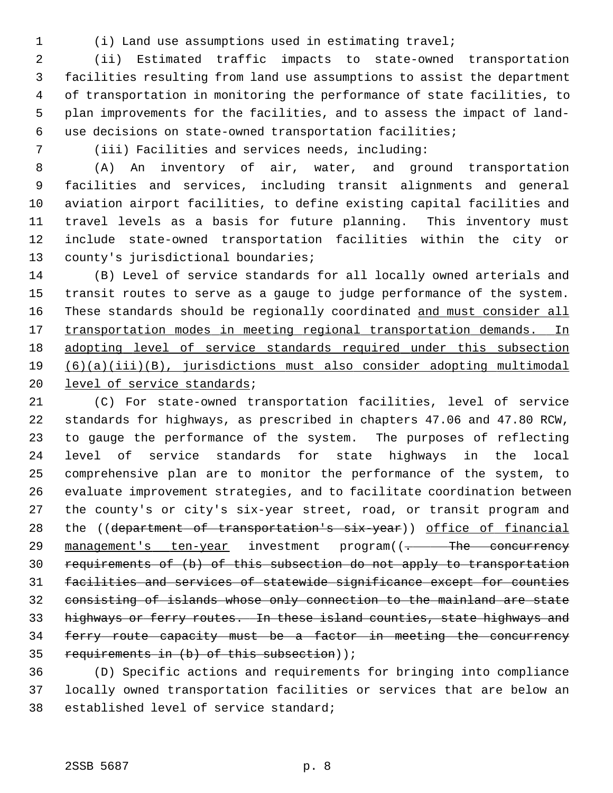1 (i) Land use assumptions used in estimating travel;

 2 (ii) Estimated traffic impacts to state-owned transportation 3 facilities resulting from land use assumptions to assist the department 4 of transportation in monitoring the performance of state facilities, to 5 plan improvements for the facilities, and to assess the impact of land- 6 use decisions on state-owned transportation facilities;

7 (iii) Facilities and services needs, including:

 8 (A) An inventory of air, water, and ground transportation 9 facilities and services, including transit alignments and general 10 aviation airport facilities, to define existing capital facilities and 11 travel levels as a basis for future planning. This inventory must 12 include state-owned transportation facilities within the city or 13 county's jurisdictional boundaries;

14 (B) Level of service standards for all locally owned arterials and 15 transit routes to serve as a gauge to judge performance of the system. 16 These standards should be regionally coordinated and must consider all 17 transportation modes in meeting regional transportation demands. In 18 adopting level of service standards required under this subsection 19 (6)(a)(iii)(B), jurisdictions must also consider adopting multimodal 20 level of service standards;

21 (C) For state-owned transportation facilities, level of service 22 standards for highways, as prescribed in chapters 47.06 and 47.80 RCW, 23 to gauge the performance of the system. The purposes of reflecting 24 level of service standards for state highways in the local 25 comprehensive plan are to monitor the performance of the system, to 26 evaluate improvement strategies, and to facilitate coordination between 27 the county's or city's six-year street, road, or transit program and 28 the ((department of transportation's six-year)) office of financial 29 management's ten-year investment program((<del>. The concurrency</del> 30 requirements of (b) of this subsection do not apply to transportation 31 facilities and services of statewide significance except for counties 32 consisting of islands whose only connection to the mainland are state 33 highways or ferry routes. In these island counties, state highways and 34 ferry route capacity must be a factor in meeting the concurrency 35 requirements in (b) of this subsection));

36 (D) Specific actions and requirements for bringing into compliance 37 locally owned transportation facilities or services that are below an 38 established level of service standard;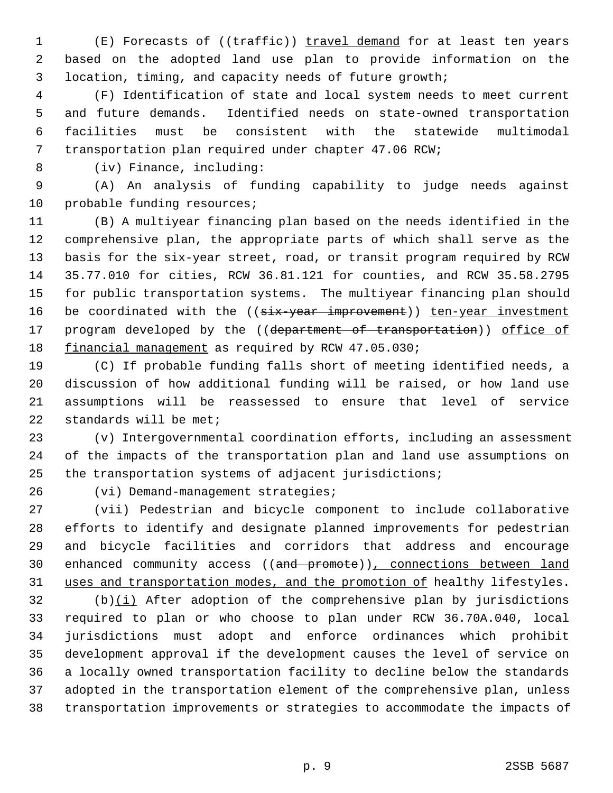1 (E) Forecasts of ((traffic)) travel demand for at least ten years 2 based on the adopted land use plan to provide information on the 3 location, timing, and capacity needs of future growth;

 4 (F) Identification of state and local system needs to meet current 5 and future demands. Identified needs on state-owned transportation 6 facilities must be consistent with the statewide multimodal 7 transportation plan required under chapter 47.06 RCW;

8 (iv) Finance, including:

 9 (A) An analysis of funding capability to judge needs against 10 probable funding resources;

11 (B) A multiyear financing plan based on the needs identified in the 12 comprehensive plan, the appropriate parts of which shall serve as the 13 basis for the six-year street, road, or transit program required by RCW 14 35.77.010 for cities, RCW 36.81.121 for counties, and RCW 35.58.2795 15 for public transportation systems. The multiyear financing plan should 16 be coordinated with the ((six-year improvement)) ten-year investment 17 program developed by the ((department of transportation)) office of 18 financial management as required by RCW 47.05.030;

19 (C) If probable funding falls short of meeting identified needs, a 20 discussion of how additional funding will be raised, or how land use 21 assumptions will be reassessed to ensure that level of service 22 standards will be met;

23 (v) Intergovernmental coordination efforts, including an assessment 24 of the impacts of the transportation plan and land use assumptions on 25 the transportation systems of adjacent jurisdictions;

26 (vi) Demand-management strategies;

27 (vii) Pedestrian and bicycle component to include collaborative 28 efforts to identify and designate planned improvements for pedestrian 29 and bicycle facilities and corridors that address and encourage 30 enhanced community access ((and promote)), connections between land 31 uses and transportation modes, and the promotion of healthy lifestyles.

32 (b)(i) After adoption of the comprehensive plan by jurisdictions 33 required to plan or who choose to plan under RCW 36.70A.040, local 34 jurisdictions must adopt and enforce ordinances which prohibit 35 development approval if the development causes the level of service on 36 a locally owned transportation facility to decline below the standards 37 adopted in the transportation element of the comprehensive plan, unless 38 transportation improvements or strategies to accommodate the impacts of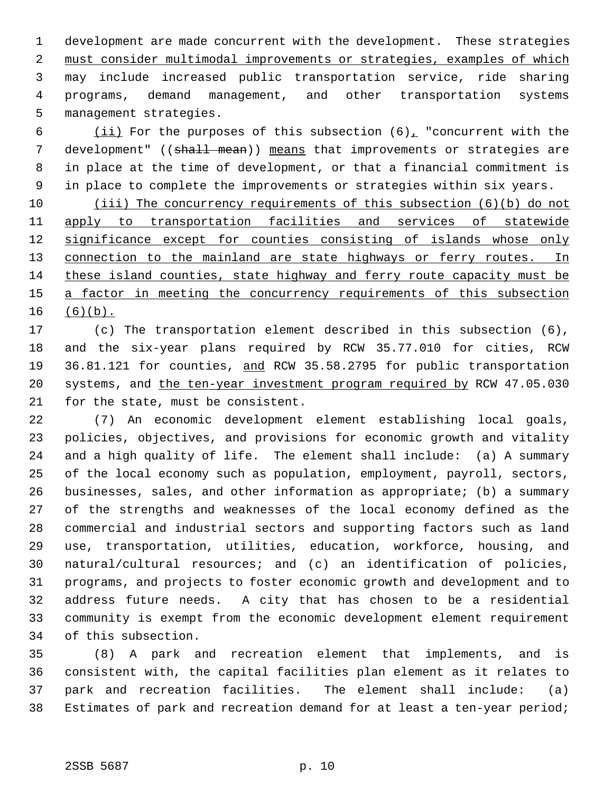1 development are made concurrent with the development. These strategies 2 must consider multimodal improvements or strategies, examples of which 3 may include increased public transportation service, ride sharing 4 programs, demand management, and other transportation systems 5 management strategies.

6 (ii) For the purposes of this subsection  $(6)_L$  "concurrent with the 7 development" ((shall mean)) means that improvements or strategies are 8 in place at the time of development, or that a financial commitment is 9 in place to complete the improvements or strategies within six years.

 (iii) The concurrency requirements of this subsection (6)(b) do not apply to transportation facilities and services of statewide significance except for counties consisting of islands whose only 13 connection to the mainland are state highways or ferry routes. In these island counties, state highway and ferry route capacity must be a factor in meeting the concurrency requirements of this subsection 16 (6)(b).

17 (c) The transportation element described in this subsection (6), 18 and the six-year plans required by RCW 35.77.010 for cities, RCW 19 36.81.121 for counties, and RCW 35.58.2795 for public transportation 20 systems, and the ten-year investment program required by RCW 47.05.030 21 for the state, must be consistent.

22 (7) An economic development element establishing local goals, 23 policies, objectives, and provisions for economic growth and vitality 24 and a high quality of life. The element shall include: (a) A summary 25 of the local economy such as population, employment, payroll, sectors, 26 businesses, sales, and other information as appropriate; (b) a summary 27 of the strengths and weaknesses of the local economy defined as the 28 commercial and industrial sectors and supporting factors such as land 29 use, transportation, utilities, education, workforce, housing, and 30 natural/cultural resources; and (c) an identification of policies, 31 programs, and projects to foster economic growth and development and to 32 address future needs. A city that has chosen to be a residential 33 community is exempt from the economic development element requirement 34 of this subsection.

35 (8) A park and recreation element that implements, and is 36 consistent with, the capital facilities plan element as it relates to 37 park and recreation facilities. The element shall include: (a) 38 Estimates of park and recreation demand for at least a ten-year period;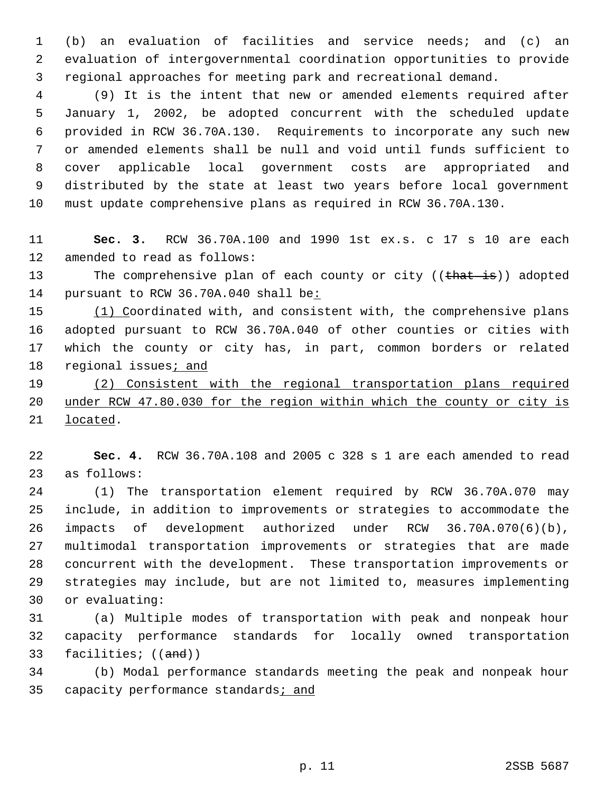1 (b) an evaluation of facilities and service needs; and (c) an 2 evaluation of intergovernmental coordination opportunities to provide 3 regional approaches for meeting park and recreational demand.

 4 (9) It is the intent that new or amended elements required after 5 January 1, 2002, be adopted concurrent with the scheduled update 6 provided in RCW 36.70A.130. Requirements to incorporate any such new 7 or amended elements shall be null and void until funds sufficient to 8 cover applicable local government costs are appropriated and 9 distributed by the state at least two years before local government 10 must update comprehensive plans as required in RCW 36.70A.130.

11 **Sec. 3.** RCW 36.70A.100 and 1990 1st ex.s. c 17 s 10 are each 12 amended to read as follows:

13 The comprehensive plan of each county or city ((that is)) adopted 14 pursuant to RCW 36.70A.040 shall be:

15 (1) Coordinated with, and consistent with, the comprehensive plans 16 adopted pursuant to RCW 36.70A.040 of other counties or cities with 17 which the county or city has, in part, common borders or related 18 regional issues; and

19 (2) Consistent with the regional transportation plans required 20 under RCW 47.80.030 for the region within which the county or city is 21 located.

22 **Sec. 4.** RCW 36.70A.108 and 2005 c 328 s 1 are each amended to read 23 as follows:

24 (1) The transportation element required by RCW 36.70A.070 may 25 include, in addition to improvements or strategies to accommodate the 26 impacts of development authorized under RCW 36.70A.070(6)(b), 27 multimodal transportation improvements or strategies that are made 28 concurrent with the development. These transportation improvements or 29 strategies may include, but are not limited to, measures implementing 30 or evaluating:

31 (a) Multiple modes of transportation with peak and nonpeak hour 32 capacity performance standards for locally owned transportation 33 facilities; ((and))

34 (b) Modal performance standards meeting the peak and nonpeak hour 35 capacity performance standards; and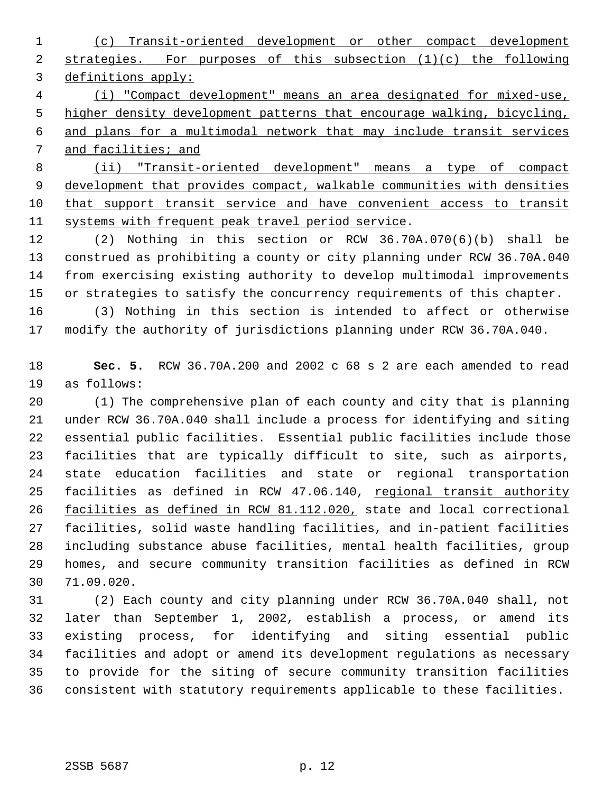(c) Transit-oriented development or other compact development strategies. For purposes of this subsection (1)(c) the following definitions apply: (i) "Compact development" means an area designated for mixed-use,

 5 higher density development patterns that encourage walking, bicycling, 6 and plans for a multimodal network that may include transit services 7 and facilities; and

 (ii) "Transit-oriented development" means a type of compact 9 development that provides compact, walkable communities with densities that support transit service and have convenient access to transit systems with frequent peak travel period service.

12 (2) Nothing in this section or RCW 36.70A.070(6)(b) shall be 13 construed as prohibiting a county or city planning under RCW 36.70A.040 14 from exercising existing authority to develop multimodal improvements 15 or strategies to satisfy the concurrency requirements of this chapter.

16 (3) Nothing in this section is intended to affect or otherwise 17 modify the authority of jurisdictions planning under RCW 36.70A.040.

18 **Sec. 5.** RCW 36.70A.200 and 2002 c 68 s 2 are each amended to read 19 as follows:

20 (1) The comprehensive plan of each county and city that is planning 21 under RCW 36.70A.040 shall include a process for identifying and siting 22 essential public facilities. Essential public facilities include those 23 facilities that are typically difficult to site, such as airports, 24 state education facilities and state or regional transportation 25 facilities as defined in RCW 47.06.140, regional transit authority 26 facilities as defined in RCW 81.112.020, state and local correctional 27 facilities, solid waste handling facilities, and in-patient facilities 28 including substance abuse facilities, mental health facilities, group 29 homes, and secure community transition facilities as defined in RCW 30 71.09.020.

31 (2) Each county and city planning under RCW 36.70A.040 shall, not 32 later than September 1, 2002, establish a process, or amend its 33 existing process, for identifying and siting essential public 34 facilities and adopt or amend its development regulations as necessary 35 to provide for the siting of secure community transition facilities 36 consistent with statutory requirements applicable to these facilities.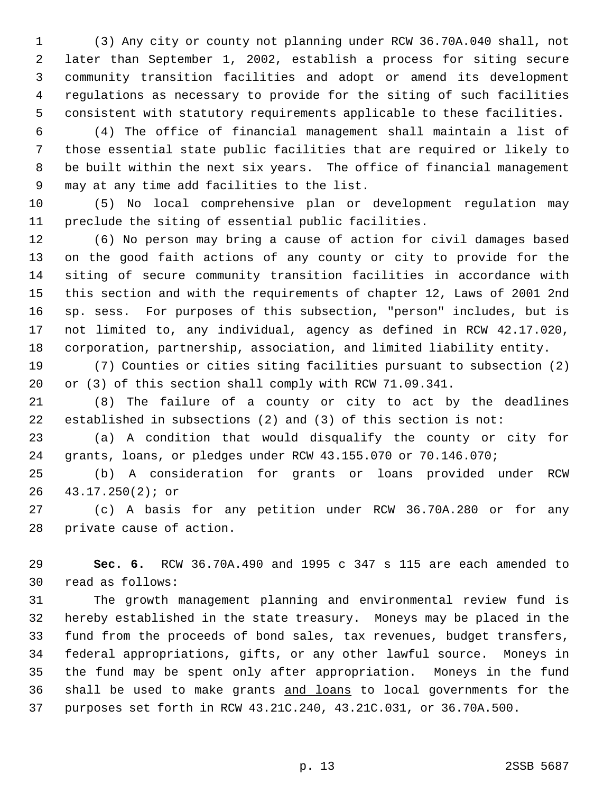1 (3) Any city or county not planning under RCW 36.70A.040 shall, not 2 later than September 1, 2002, establish a process for siting secure 3 community transition facilities and adopt or amend its development 4 regulations as necessary to provide for the siting of such facilities 5 consistent with statutory requirements applicable to these facilities.

 6 (4) The office of financial management shall maintain a list of 7 those essential state public facilities that are required or likely to 8 be built within the next six years. The office of financial management 9 may at any time add facilities to the list.

10 (5) No local comprehensive plan or development regulation may 11 preclude the siting of essential public facilities.

12 (6) No person may bring a cause of action for civil damages based 13 on the good faith actions of any county or city to provide for the 14 siting of secure community transition facilities in accordance with 15 this section and with the requirements of chapter 12, Laws of 2001 2nd 16 sp. sess. For purposes of this subsection, "person" includes, but is 17 not limited to, any individual, agency as defined in RCW 42.17.020, 18 corporation, partnership, association, and limited liability entity.

19 (7) Counties or cities siting facilities pursuant to subsection (2) 20 or (3) of this section shall comply with RCW 71.09.341.

21 (8) The failure of a county or city to act by the deadlines 22 established in subsections (2) and (3) of this section is not:

23 (a) A condition that would disqualify the county or city for 24 grants, loans, or pledges under RCW 43.155.070 or 70.146.070;

25 (b) A consideration for grants or loans provided under RCW 26 43.17.250(2); or

27 (c) A basis for any petition under RCW 36.70A.280 or for any 28 private cause of action.

29 **Sec. 6.** RCW 36.70A.490 and 1995 c 347 s 115 are each amended to 30 read as follows:

31 The growth management planning and environmental review fund is 32 hereby established in the state treasury. Moneys may be placed in the 33 fund from the proceeds of bond sales, tax revenues, budget transfers, 34 federal appropriations, gifts, or any other lawful source. Moneys in 35 the fund may be spent only after appropriation. Moneys in the fund 36 shall be used to make grants and loans to local governments for the 37 purposes set forth in RCW 43.21C.240, 43.21C.031, or 36.70A.500.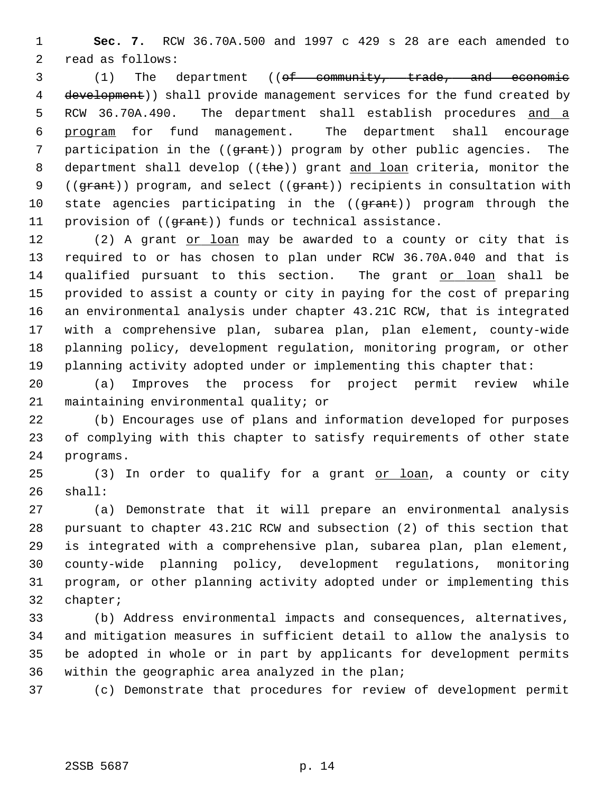1 **Sec. 7.** RCW 36.70A.500 and 1997 c 429 s 28 are each amended to 2 read as follows:

 3 (1) The department ((of community, trade, and economic 4 development)) shall provide management services for the fund created by 5 RCW 36.70A.490. The department shall establish procedures and a 6 program for fund management. The department shall encourage 7 participation in the (( $\frac{1}{2}$ ) program by other public agencies. The 8 department shall develop  $((the)$  grant and loan criteria, monitor the 9 ((grant)) program, and select ((grant)) recipients in consultation with 10 state agencies participating in the ((grant)) program through the 11 provision of ((grant)) funds or technical assistance.

12 (2) A grant or loan may be awarded to a county or city that is 13 required to or has chosen to plan under RCW 36.70A.040 and that is 14 qualified pursuant to this section. The grant or loan shall be 15 provided to assist a county or city in paying for the cost of preparing 16 an environmental analysis under chapter 43.21C RCW, that is integrated 17 with a comprehensive plan, subarea plan, plan element, county-wide 18 planning policy, development regulation, monitoring program, or other 19 planning activity adopted under or implementing this chapter that:

20 (a) Improves the process for project permit review while 21 maintaining environmental quality; or

22 (b) Encourages use of plans and information developed for purposes 23 of complying with this chapter to satisfy requirements of other state 24 programs.

25 (3) In order to qualify for a grant or loan, a county or city 26 shall:

27 (a) Demonstrate that it will prepare an environmental analysis 28 pursuant to chapter 43.21C RCW and subsection (2) of this section that 29 is integrated with a comprehensive plan, subarea plan, plan element, 30 county-wide planning policy, development regulations, monitoring 31 program, or other planning activity adopted under or implementing this 32 chapter;

33 (b) Address environmental impacts and consequences, alternatives, 34 and mitigation measures in sufficient detail to allow the analysis to 35 be adopted in whole or in part by applicants for development permits 36 within the geographic area analyzed in the plan;

37 (c) Demonstrate that procedures for review of development permit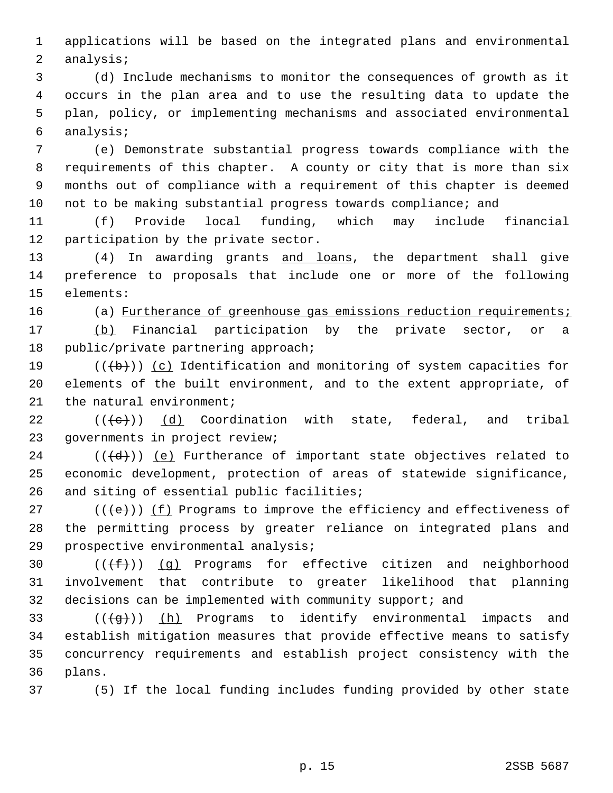1 applications will be based on the integrated plans and environmental 2 analysis;

 3 (d) Include mechanisms to monitor the consequences of growth as it 4 occurs in the plan area and to use the resulting data to update the 5 plan, policy, or implementing mechanisms and associated environmental 6 analysis;

 7 (e) Demonstrate substantial progress towards compliance with the 8 requirements of this chapter. A county or city that is more than six 9 months out of compliance with a requirement of this chapter is deemed 10 not to be making substantial progress towards compliance; and

11 (f) Provide local funding, which may include financial 12 participation by the private sector.

13 (4) In awarding grants and loans, the department shall give 14 preference to proposals that include one or more of the following 15 elements:

16 (a) Furtherance of greenhouse gas emissions reduction requirements;

17 (b) Financial participation by the private sector, or a 18 public/private partnering approach;

19  $((+b))$  (c) Identification and monitoring of system capacities for 20 elements of the built environment, and to the extent appropriate, of 21 the natural environment;

22  $((\{e\})$  (d) Coordination with state, federal, and tribal 23 governments in project review;

24  $((\{d\})$  (e) Furtherance of important state objectives related to 25 economic development, protection of areas of statewide significance, 26 and siting of essential public facilities;

27 ( $(\langle e \rangle)$ ) (f) Programs to improve the efficiency and effectiveness of 28 the permitting process by greater reliance on integrated plans and 29 prospective environmental analysis;

30  $((\text{#}))$  (g) Programs for effective citizen and neighborhood 31 involvement that contribute to greater likelihood that planning 32 decisions can be implemented with community support; and

33 ( $(\overline{+q})$ ) (h) Programs to identify environmental impacts and 34 establish mitigation measures that provide effective means to satisfy 35 concurrency requirements and establish project consistency with the 36 plans.

37 (5) If the local funding includes funding provided by other state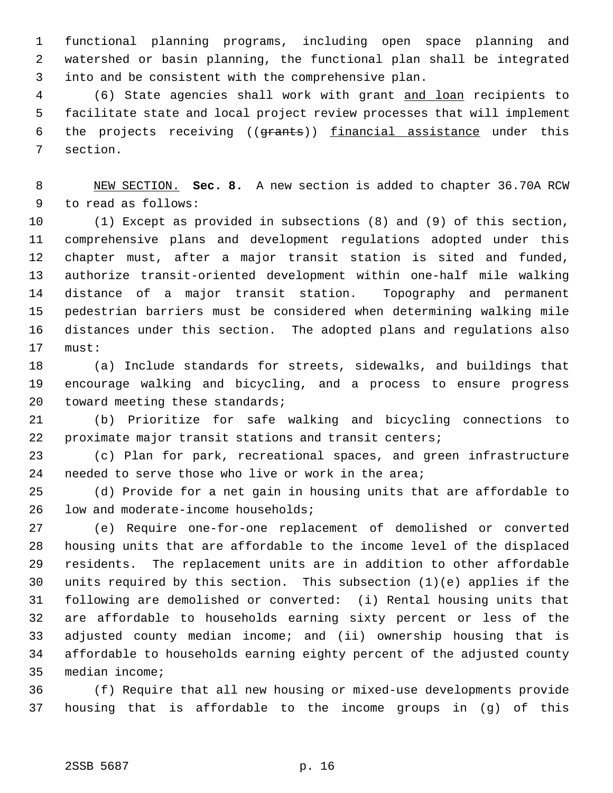1 functional planning programs, including open space planning and 2 watershed or basin planning, the functional plan shall be integrated 3 into and be consistent with the comprehensive plan.

 4 (6) State agencies shall work with grant and loan recipients to 5 facilitate state and local project review processes that will implement 6 the projects receiving ((grants)) financial assistance under this 7 section.

 8 NEW SECTION. **Sec. 8.** A new section is added to chapter 36.70A RCW 9 to read as follows:

10 (1) Except as provided in subsections (8) and (9) of this section, 11 comprehensive plans and development regulations adopted under this 12 chapter must, after a major transit station is sited and funded, 13 authorize transit-oriented development within one-half mile walking 14 distance of a major transit station. Topography and permanent 15 pedestrian barriers must be considered when determining walking mile 16 distances under this section. The adopted plans and regulations also 17 must:

18 (a) Include standards for streets, sidewalks, and buildings that 19 encourage walking and bicycling, and a process to ensure progress 20 toward meeting these standards;

21 (b) Prioritize for safe walking and bicycling connections to 22 proximate major transit stations and transit centers;

23 (c) Plan for park, recreational spaces, and green infrastructure 24 needed to serve those who live or work in the area;

25 (d) Provide for a net gain in housing units that are affordable to 26 low and moderate-income households;

27 (e) Require one-for-one replacement of demolished or converted 28 housing units that are affordable to the income level of the displaced 29 residents. The replacement units are in addition to other affordable 30 units required by this section. This subsection (1)(e) applies if the 31 following are demolished or converted: (i) Rental housing units that 32 are affordable to households earning sixty percent or less of the 33 adjusted county median income; and (ii) ownership housing that is 34 affordable to households earning eighty percent of the adjusted county 35 median income;

36 (f) Require that all new housing or mixed-use developments provide 37 housing that is affordable to the income groups in (g) of this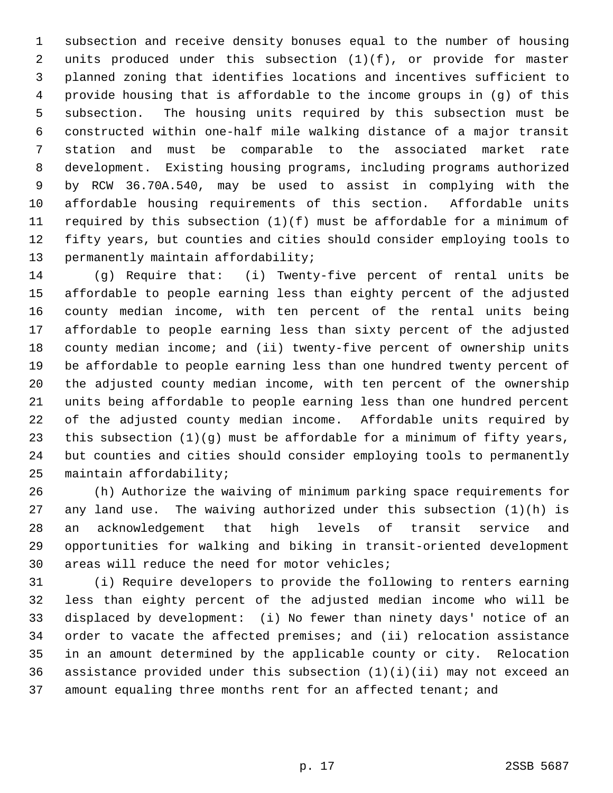1 subsection and receive density bonuses equal to the number of housing 2 units produced under this subsection (1)(f), or provide for master 3 planned zoning that identifies locations and incentives sufficient to 4 provide housing that is affordable to the income groups in (g) of this 5 subsection. The housing units required by this subsection must be 6 constructed within one-half mile walking distance of a major transit 7 station and must be comparable to the associated market rate 8 development. Existing housing programs, including programs authorized 9 by RCW 36.70A.540, may be used to assist in complying with the 10 affordable housing requirements of this section. Affordable units 11 required by this subsection (1)(f) must be affordable for a minimum of 12 fifty years, but counties and cities should consider employing tools to 13 permanently maintain affordability;

14 (g) Require that: (i) Twenty-five percent of rental units be 15 affordable to people earning less than eighty percent of the adjusted 16 county median income, with ten percent of the rental units being 17 affordable to people earning less than sixty percent of the adjusted 18 county median income; and (ii) twenty-five percent of ownership units 19 be affordable to people earning less than one hundred twenty percent of 20 the adjusted county median income, with ten percent of the ownership 21 units being affordable to people earning less than one hundred percent 22 of the adjusted county median income. Affordable units required by 23 this subsection (1)(g) must be affordable for a minimum of fifty years, 24 but counties and cities should consider employing tools to permanently 25 maintain affordability;

26 (h) Authorize the waiving of minimum parking space requirements for 27 any land use. The waiving authorized under this subsection (1)(h) is 28 an acknowledgement that high levels of transit service and 29 opportunities for walking and biking in transit-oriented development 30 areas will reduce the need for motor vehicles;

31 (i) Require developers to provide the following to renters earning 32 less than eighty percent of the adjusted median income who will be 33 displaced by development: (i) No fewer than ninety days' notice of an 34 order to vacate the affected premises; and (ii) relocation assistance 35 in an amount determined by the applicable county or city. Relocation 36 assistance provided under this subsection (1)(i)(ii) may not exceed an 37 amount equaling three months rent for an affected tenant; and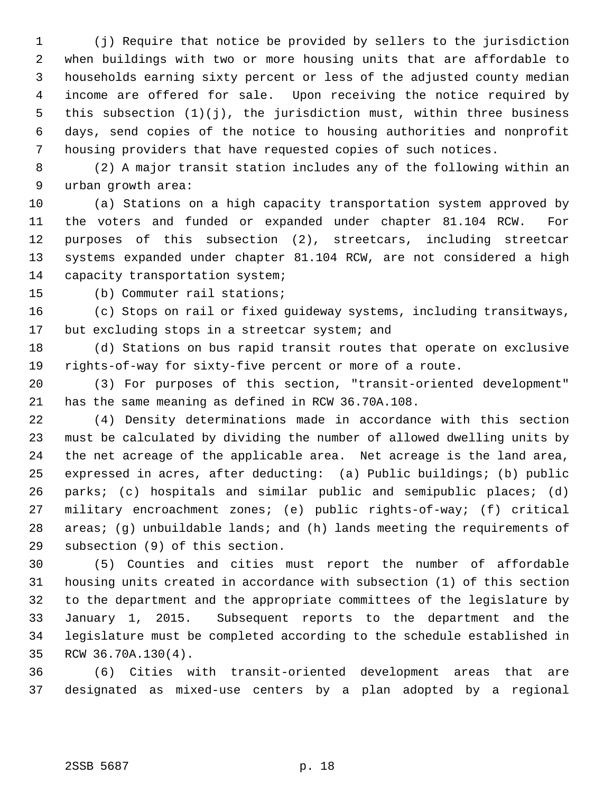1 (j) Require that notice be provided by sellers to the jurisdiction 2 when buildings with two or more housing units that are affordable to 3 households earning sixty percent or less of the adjusted county median 4 income are offered for sale. Upon receiving the notice required by 5 this subsection (1)(j), the jurisdiction must, within three business 6 days, send copies of the notice to housing authorities and nonprofit 7 housing providers that have requested copies of such notices.

 8 (2) A major transit station includes any of the following within an 9 urban growth area:

10 (a) Stations on a high capacity transportation system approved by 11 the voters and funded or expanded under chapter 81.104 RCW. For 12 purposes of this subsection (2), streetcars, including streetcar 13 systems expanded under chapter 81.104 RCW, are not considered a high 14 capacity transportation system;

15 (b) Commuter rail stations;

16 (c) Stops on rail or fixed guideway systems, including transitways, 17 but excluding stops in a streetcar system; and

18 (d) Stations on bus rapid transit routes that operate on exclusive 19 rights-of-way for sixty-five percent or more of a route.

20 (3) For purposes of this section, "transit-oriented development" 21 has the same meaning as defined in RCW 36.70A.108.

22 (4) Density determinations made in accordance with this section 23 must be calculated by dividing the number of allowed dwelling units by 24 the net acreage of the applicable area. Net acreage is the land area, 25 expressed in acres, after deducting: (a) Public buildings; (b) public 26 parks; (c) hospitals and similar public and semipublic places; (d) 27 military encroachment zones; (e) public rights-of-way; (f) critical 28 areas; (g) unbuildable lands; and (h) lands meeting the requirements of 29 subsection (9) of this section.

30 (5) Counties and cities must report the number of affordable 31 housing units created in accordance with subsection (1) of this section 32 to the department and the appropriate committees of the legislature by 33 January 1, 2015. Subsequent reports to the department and the 34 legislature must be completed according to the schedule established in 35 RCW 36.70A.130(4).

36 (6) Cities with transit-oriented development areas that are 37 designated as mixed-use centers by a plan adopted by a regional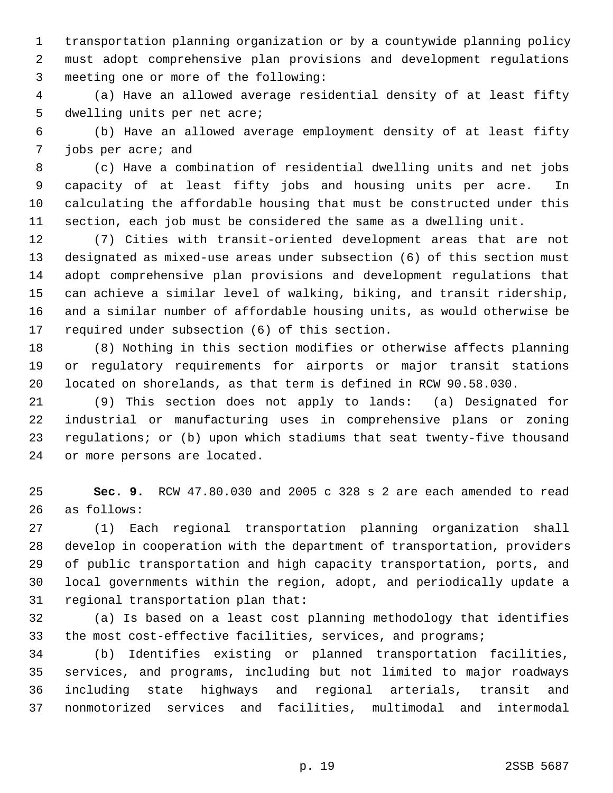1 transportation planning organization or by a countywide planning policy 2 must adopt comprehensive plan provisions and development regulations 3 meeting one or more of the following:

 4 (a) Have an allowed average residential density of at least fifty 5 dwelling units per net acre;

 6 (b) Have an allowed average employment density of at least fifty 7 jobs per acre; and

 8 (c) Have a combination of residential dwelling units and net jobs 9 capacity of at least fifty jobs and housing units per acre. In 10 calculating the affordable housing that must be constructed under this 11 section, each job must be considered the same as a dwelling unit.

12 (7) Cities with transit-oriented development areas that are not 13 designated as mixed-use areas under subsection (6) of this section must 14 adopt comprehensive plan provisions and development regulations that 15 can achieve a similar level of walking, biking, and transit ridership, 16 and a similar number of affordable housing units, as would otherwise be 17 required under subsection (6) of this section.

18 (8) Nothing in this section modifies or otherwise affects planning 19 or regulatory requirements for airports or major transit stations 20 located on shorelands, as that term is defined in RCW 90.58.030.

21 (9) This section does not apply to lands: (a) Designated for 22 industrial or manufacturing uses in comprehensive plans or zoning 23 regulations; or (b) upon which stadiums that seat twenty-five thousand 24 or more persons are located.

25 **Sec. 9.** RCW 47.80.030 and 2005 c 328 s 2 are each amended to read 26 as follows:

27 (1) Each regional transportation planning organization shall 28 develop in cooperation with the department of transportation, providers 29 of public transportation and high capacity transportation, ports, and 30 local governments within the region, adopt, and periodically update a 31 regional transportation plan that:

32 (a) Is based on a least cost planning methodology that identifies 33 the most cost-effective facilities, services, and programs;

34 (b) Identifies existing or planned transportation facilities, 35 services, and programs, including but not limited to major roadways 36 including state highways and regional arterials, transit and 37 nonmotorized services and facilities, multimodal and intermodal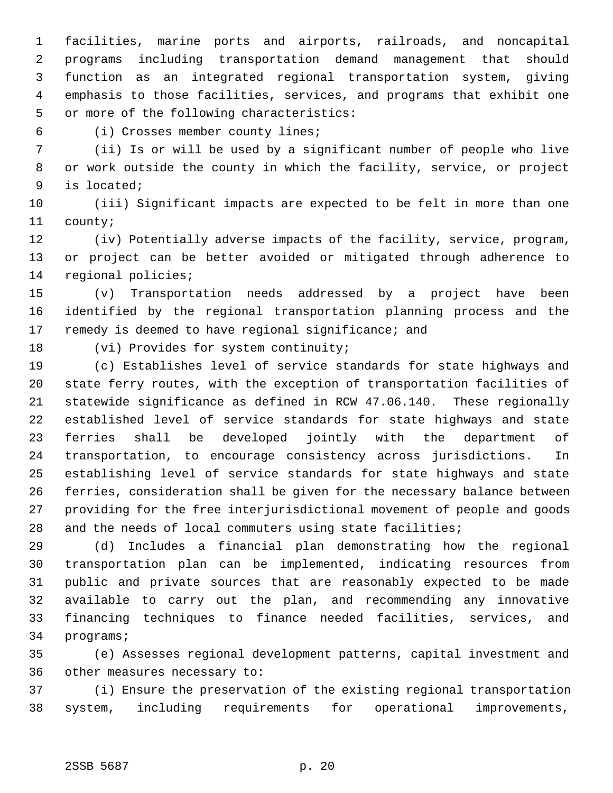1 facilities, marine ports and airports, railroads, and noncapital 2 programs including transportation demand management that should 3 function as an integrated regional transportation system, giving 4 emphasis to those facilities, services, and programs that exhibit one 5 or more of the following characteristics:

6 (i) Crosses member county lines;

 7 (ii) Is or will be used by a significant number of people who live 8 or work outside the county in which the facility, service, or project 9 is located;

10 (iii) Significant impacts are expected to be felt in more than one 11 county;

12 (iv) Potentially adverse impacts of the facility, service, program, 13 or project can be better avoided or mitigated through adherence to 14 regional policies;

15 (v) Transportation needs addressed by a project have been 16 identified by the regional transportation planning process and the 17 remedy is deemed to have regional significance; and

18 (vi) Provides for system continuity;

19 (c) Establishes level of service standards for state highways and 20 state ferry routes, with the exception of transportation facilities of 21 statewide significance as defined in RCW 47.06.140. These regionally 22 established level of service standards for state highways and state 23 ferries shall be developed jointly with the department of 24 transportation, to encourage consistency across jurisdictions. In 25 establishing level of service standards for state highways and state 26 ferries, consideration shall be given for the necessary balance between 27 providing for the free interjurisdictional movement of people and goods 28 and the needs of local commuters using state facilities;

29 (d) Includes a financial plan demonstrating how the regional 30 transportation plan can be implemented, indicating resources from 31 public and private sources that are reasonably expected to be made 32 available to carry out the plan, and recommending any innovative 33 financing techniques to finance needed facilities, services, and 34 programs;

35 (e) Assesses regional development patterns, capital investment and 36 other measures necessary to:

37 (i) Ensure the preservation of the existing regional transportation 38 system, including requirements for operational improvements,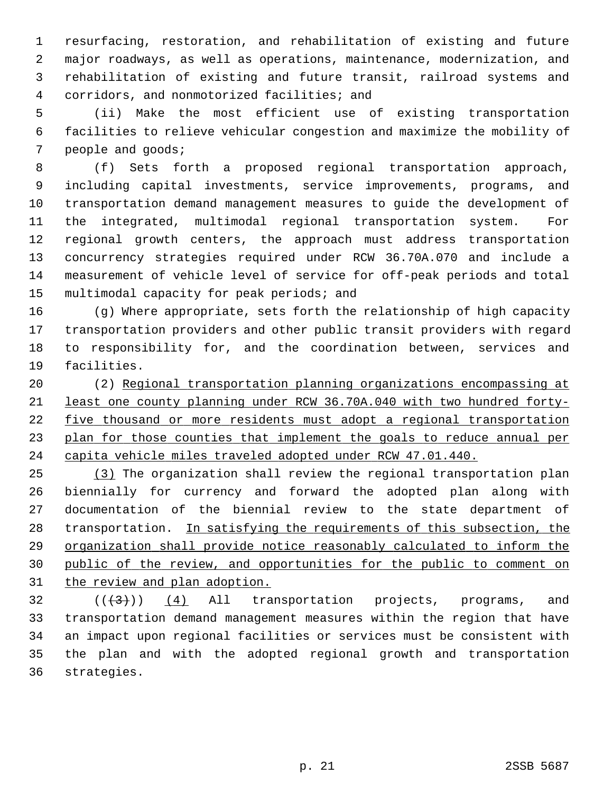1 resurfacing, restoration, and rehabilitation of existing and future 2 major roadways, as well as operations, maintenance, modernization, and 3 rehabilitation of existing and future transit, railroad systems and 4 corridors, and nonmotorized facilities; and

 5 (ii) Make the most efficient use of existing transportation 6 facilities to relieve vehicular congestion and maximize the mobility of 7 people and goods;

 8 (f) Sets forth a proposed regional transportation approach, 9 including capital investments, service improvements, programs, and 10 transportation demand management measures to guide the development of 11 the integrated, multimodal regional transportation system. For 12 regional growth centers, the approach must address transportation 13 concurrency strategies required under RCW 36.70A.070 and include a 14 measurement of vehicle level of service for off-peak periods and total 15 multimodal capacity for peak periods; and

16 (g) Where appropriate, sets forth the relationship of high capacity 17 transportation providers and other public transit providers with regard 18 to responsibility for, and the coordination between, services and 19 facilities.

20 (2) Regional transportation planning organizations encompassing at least one county planning under RCW 36.70A.040 with two hundred forty- five thousand or more residents must adopt a regional transportation plan for those counties that implement the goals to reduce annual per capita vehicle miles traveled adopted under RCW 47.01.440.

25 (3) The organization shall review the regional transportation plan 26 biennially for currency and forward the adopted plan along with 27 documentation of the biennial review to the state department of 28 transportation. In satisfying the requirements of this subsection, the 29 organization shall provide notice reasonably calculated to inform the 30 public of the review, and opportunities for the public to comment on 31 the review and plan adoption.

 $(1)(3)$  (( $(3)$ ) (4) All transportation projects, programs, and 33 transportation demand management measures within the region that have 34 an impact upon regional facilities or services must be consistent with 35 the plan and with the adopted regional growth and transportation 36 strategies.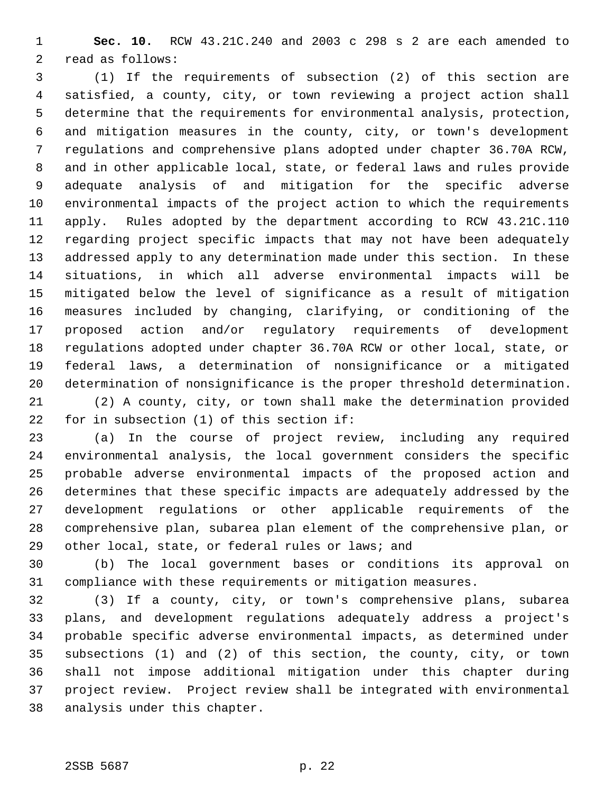1 **Sec. 10.** RCW 43.21C.240 and 2003 c 298 s 2 are each amended to 2 read as follows:

 3 (1) If the requirements of subsection (2) of this section are 4 satisfied, a county, city, or town reviewing a project action shall 5 determine that the requirements for environmental analysis, protection, 6 and mitigation measures in the county, city, or town's development 7 regulations and comprehensive plans adopted under chapter 36.70A RCW, 8 and in other applicable local, state, or federal laws and rules provide 9 adequate analysis of and mitigation for the specific adverse 10 environmental impacts of the project action to which the requirements 11 apply. Rules adopted by the department according to RCW 43.21C.110 12 regarding project specific impacts that may not have been adequately 13 addressed apply to any determination made under this section. In these 14 situations, in which all adverse environmental impacts will be 15 mitigated below the level of significance as a result of mitigation 16 measures included by changing, clarifying, or conditioning of the 17 proposed action and/or regulatory requirements of development 18 regulations adopted under chapter 36.70A RCW or other local, state, or 19 federal laws, a determination of nonsignificance or a mitigated 20 determination of nonsignificance is the proper threshold determination.

21 (2) A county, city, or town shall make the determination provided 22 for in subsection (1) of this section if:

23 (a) In the course of project review, including any required 24 environmental analysis, the local government considers the specific 25 probable adverse environmental impacts of the proposed action and 26 determines that these specific impacts are adequately addressed by the 27 development regulations or other applicable requirements of the 28 comprehensive plan, subarea plan element of the comprehensive plan, or 29 other local, state, or federal rules or laws; and

30 (b) The local government bases or conditions its approval on 31 compliance with these requirements or mitigation measures.

32 (3) If a county, city, or town's comprehensive plans, subarea 33 plans, and development regulations adequately address a project's 34 probable specific adverse environmental impacts, as determined under 35 subsections (1) and (2) of this section, the county, city, or town 36 shall not impose additional mitigation under this chapter during 37 project review. Project review shall be integrated with environmental 38 analysis under this chapter.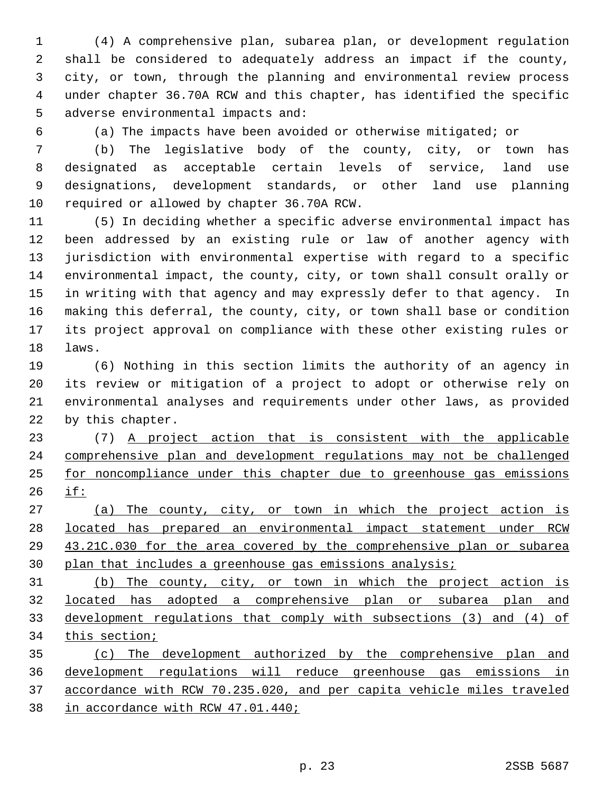1 (4) A comprehensive plan, subarea plan, or development regulation 2 shall be considered to adequately address an impact if the county, 3 city, or town, through the planning and environmental review process 4 under chapter 36.70A RCW and this chapter, has identified the specific 5 adverse environmental impacts and:

6 (a) The impacts have been avoided or otherwise mitigated; or

 7 (b) The legislative body of the county, city, or town has 8 designated as acceptable certain levels of service, land use 9 designations, development standards, or other land use planning 10 required or allowed by chapter 36.70A RCW.

11 (5) In deciding whether a specific adverse environmental impact has 12 been addressed by an existing rule or law of another agency with 13 jurisdiction with environmental expertise with regard to a specific 14 environmental impact, the county, city, or town shall consult orally or 15 in writing with that agency and may expressly defer to that agency. In 16 making this deferral, the county, city, or town shall base or condition 17 its project approval on compliance with these other existing rules or 18 laws.

19 (6) Nothing in this section limits the authority of an agency in 20 its review or mitigation of a project to adopt or otherwise rely on 21 environmental analyses and requirements under other laws, as provided 22 by this chapter.

23 (7) A project action that is consistent with the applicable 24 comprehensive plan and development regulations may not be challenged 25 for noncompliance under this chapter due to greenhouse gas emissions 26 if:

 (a) The county, city, or town in which the project action is located has prepared an environmental impact statement under RCW 43.21C.030 for the area covered by the comprehensive plan or subarea plan that includes a greenhouse gas emissions analysis;

 (b) The county, city, or town in which the project action is located has adopted a comprehensive plan or subarea plan and development regulations that comply with subsections (3) and (4) of this section;

 (c) The development authorized by the comprehensive plan and development regulations will reduce greenhouse gas emissions in accordance with RCW 70.235.020, and per capita vehicle miles traveled in accordance with RCW 47.01.440;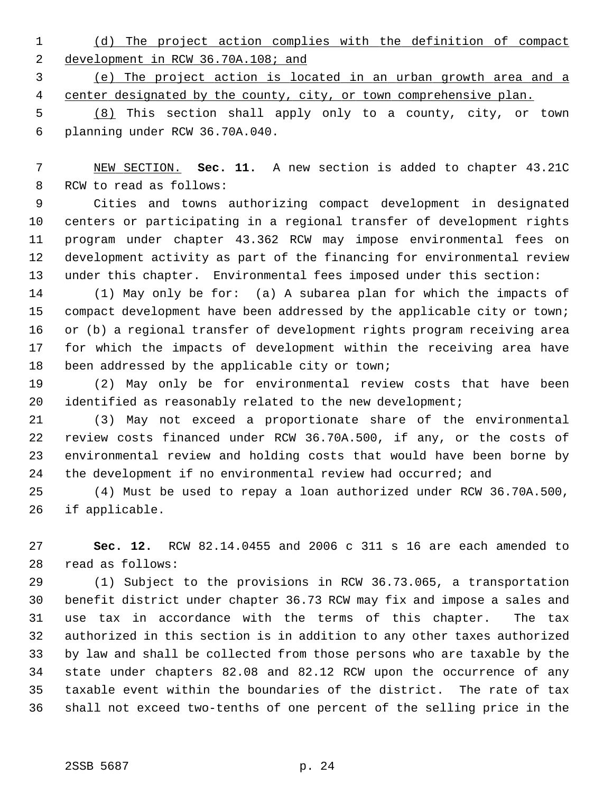1 (d) The project action complies with the definition of compact 2 development in RCW 36.70A.108; and 3 (e) The project action is located in an urban growth area and a

4 center designated by the county, city, or town comprehensive plan.

 5 (8) This section shall apply only to a county, city, or town 6 planning under RCW 36.70A.040.

 7 NEW SECTION. **Sec. 11.** A new section is added to chapter 43.21C 8 RCW to read as follows:

 9 Cities and towns authorizing compact development in designated 10 centers or participating in a regional transfer of development rights 11 program under chapter 43.362 RCW may impose environmental fees on 12 development activity as part of the financing for environmental review 13 under this chapter. Environmental fees imposed under this section:

14 (1) May only be for: (a) A subarea plan for which the impacts of 15 compact development have been addressed by the applicable city or town; 16 or (b) a regional transfer of development rights program receiving area 17 for which the impacts of development within the receiving area have 18 been addressed by the applicable city or town;

19 (2) May only be for environmental review costs that have been 20 identified as reasonably related to the new development;

21 (3) May not exceed a proportionate share of the environmental 22 review costs financed under RCW 36.70A.500, if any, or the costs of 23 environmental review and holding costs that would have been borne by 24 the development if no environmental review had occurred; and

25 (4) Must be used to repay a loan authorized under RCW 36.70A.500, 26 if applicable.

27 **Sec. 12.** RCW 82.14.0455 and 2006 c 311 s 16 are each amended to 28 read as follows:

29 (1) Subject to the provisions in RCW 36.73.065, a transportation 30 benefit district under chapter 36.73 RCW may fix and impose a sales and 31 use tax in accordance with the terms of this chapter. The tax 32 authorized in this section is in addition to any other taxes authorized 33 by law and shall be collected from those persons who are taxable by the 34 state under chapters 82.08 and 82.12 RCW upon the occurrence of any 35 taxable event within the boundaries of the district. The rate of tax 36 shall not exceed two-tenths of one percent of the selling price in the